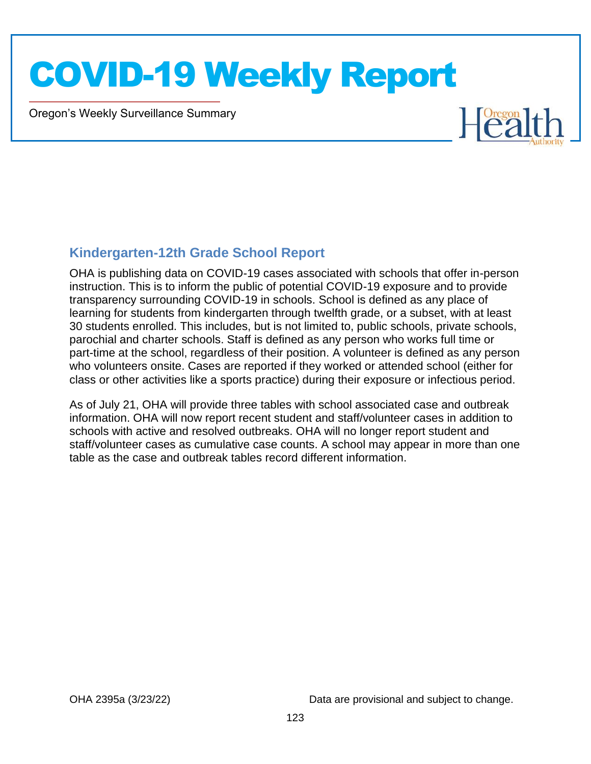Oregon's Weekly Surveillance Summary

Novel Coronavirus (COVID-19)



#### **Kindergarten-12th Grade School Report**

OHA is publishing data on COVID-19 cases associated with schools that offer in-person instruction. This is to inform the public of potential COVID-19 exposure and to provide transparency surrounding COVID-19 in schools. School is defined as any place of learning for students from kindergarten through twelfth grade, or a subset, with at least 30 students enrolled. This includes, but is not limited to, public schools, private schools, parochial and charter schools. Staff is defined as any person who works full time or part-time at the school, regardless of their position. A volunteer is defined as any person who volunteers onsite. Cases are reported if they worked or attended school (either for class or other activities like a sports practice) during their exposure or infectious period.

As of July 21, OHA will provide three tables with school associated case and outbreak information. OHA will now report recent student and staff/volunteer cases in addition to schools with active and resolved outbreaks. OHA will no longer report student and staff/volunteer cases as cumulative case counts. A school may appear in more than one table as the case and outbreak tables record different information.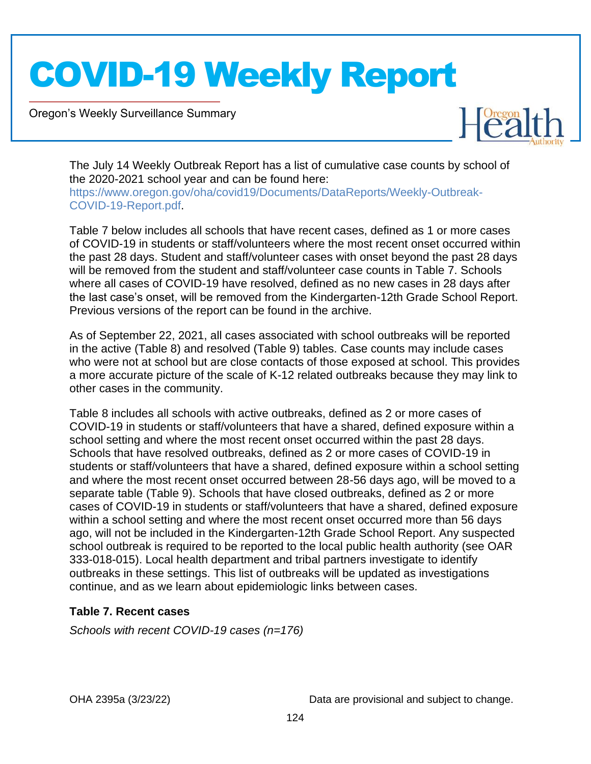Oregon's Weekly Surveillance Summary

Novel Coronavirus (COVID-19)



The July 14 Weekly Outbreak Report has a list of cumulative case counts by school of the 2020-2021 school year and can be found here: https://www.oregon.gov/oha/covid19/Documents/DataReports/Weekly-Outbreak-COVID-19-Report.pdf.

Table 7 below includes all schools that have recent cases, defined as 1 or more cases of COVID-19 in students or staff/volunteers where the most recent onset occurred within the past 28 days. Student and staff/volunteer cases with onset beyond the past 28 days will be removed from the student and staff/volunteer case counts in Table 7. Schools where all cases of COVID-19 have resolved, defined as no new cases in 28 days after the last case's onset, will be removed from the Kindergarten-12th Grade School Report. Previous versions of the report can be found in the archive.

As of September 22, 2021, all cases associated with school outbreaks will be reported in the active (Table 8) and resolved (Table 9) tables. Case counts may include cases who were not at school but are close contacts of those exposed at school. This provides a more accurate picture of the scale of K-12 related outbreaks because they may link to other cases in the community.

Table 8 includes all schools with active outbreaks, defined as 2 or more cases of COVID-19 in students or staff/volunteers that have a shared, defined exposure within a school setting and where the most recent onset occurred within the past 28 days. Schools that have resolved outbreaks, defined as 2 or more cases of COVID-19 in students or staff/volunteers that have a shared, defined exposure within a school setting and where the most recent onset occurred between 28-56 days ago, will be moved to a separate table (Table 9). Schools that have closed outbreaks, defined as 2 or more cases of COVID-19 in students or staff/volunteers that have a shared, defined exposure within a school setting and where the most recent onset occurred more than 56 days ago, will not be included in the Kindergarten-12th Grade School Report. Any suspected school outbreak is required to be reported to the local public health authority (see OAR 333-018-015). Local health department and tribal partners investigate to identify outbreaks in these settings. This list of outbreaks will be updated as investigations continue, and as we learn about epidemiologic links between cases.

#### **Table 7. Recent cases**

*Schools with recent COVID-19 cases (n=176)*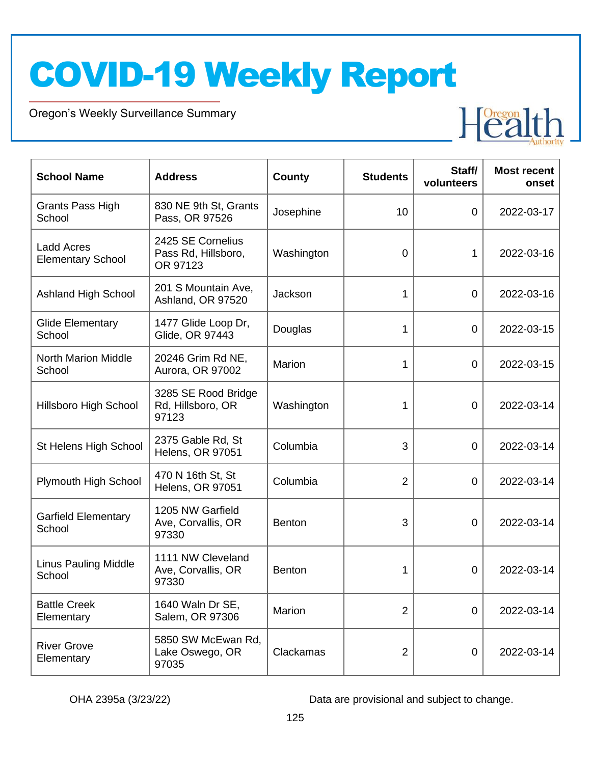Oregon's Weekly Surveillance Summary

Novel Coronavirus (COVID-19)



| <b>School Name</b>                            | <b>Address</b>                                       | County        | <b>Students</b> | Staff/<br>volunteers | <b>Most recent</b><br>onset |
|-----------------------------------------------|------------------------------------------------------|---------------|-----------------|----------------------|-----------------------------|
| Grants Pass High<br>School                    | 830 NE 9th St, Grants<br>Pass, OR 97526              | Josephine     | 10              | 0                    | 2022-03-17                  |
| <b>Ladd Acres</b><br><b>Elementary School</b> | 2425 SE Cornelius<br>Pass Rd, Hillsboro,<br>OR 97123 | Washington    | $\overline{0}$  | 1                    | 2022-03-16                  |
| <b>Ashland High School</b>                    | 201 S Mountain Ave,<br>Ashland, OR 97520             | Jackson       | 1               | $\overline{0}$       | 2022-03-16                  |
| <b>Glide Elementary</b><br>School             | 1477 Glide Loop Dr,<br>Glide, OR 97443               | Douglas       | 1               | $\overline{0}$       | 2022-03-15                  |
| <b>North Marion Middle</b><br>School          | 20246 Grim Rd NE,<br>Aurora, OR 97002                | Marion        | 1               | $\overline{0}$       | 2022-03-15                  |
| <b>Hillsboro High School</b>                  | 3285 SE Rood Bridge<br>Rd, Hillsboro, OR<br>97123    | Washington    | 1               | 0                    | 2022-03-14                  |
| St Helens High School                         | 2375 Gable Rd, St<br><b>Helens, OR 97051</b>         | Columbia      | 3               | 0                    | 2022-03-14                  |
| Plymouth High School                          | 470 N 16th St, St<br><b>Helens, OR 97051</b>         | Columbia      | $\overline{2}$  | $\overline{0}$       | 2022-03-14                  |
| <b>Garfield Elementary</b><br>School          | 1205 NW Garfield<br>Ave, Corvallis, OR<br>97330      | <b>Benton</b> | 3               | 0                    | 2022-03-14                  |
| <b>Linus Pauling Middle</b><br>School         | 1111 NW Cleveland<br>Ave, Corvallis, OR<br>97330     | Benton        | 1               | 0                    | 2022-03-14                  |
| <b>Battle Creek</b><br>Elementary             | 1640 Waln Dr SE,<br>Salem, OR 97306                  | Marion        | $\overline{2}$  | 0                    | 2022-03-14                  |
| <b>River Grove</b><br>Elementary              | 5850 SW McEwan Rd,<br>Lake Oswego, OR<br>97035       | Clackamas     | $\overline{2}$  | $\mathbf 0$          | 2022-03-14                  |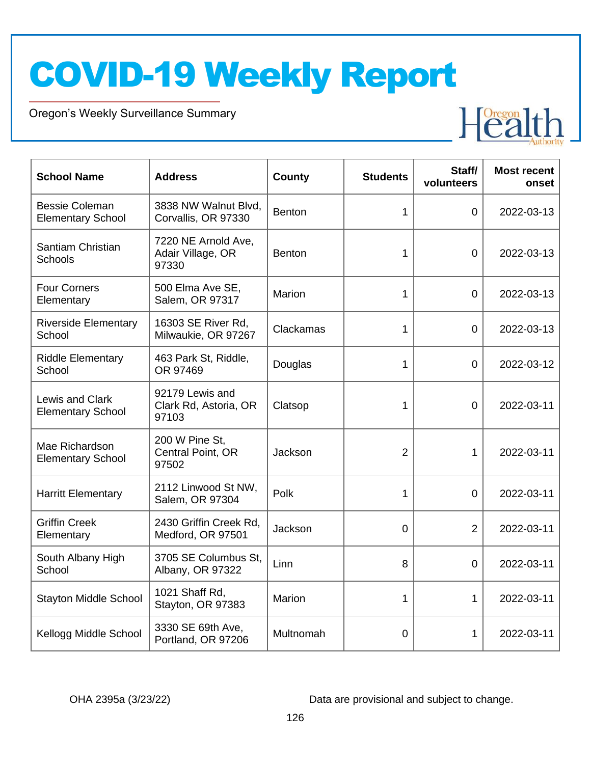Oregon's Weekly Surveillance Summary

Novel Coronavirus (COVID-19)



| <b>School Name</b>                                | <b>Address</b>                                    | <b>County</b> | <b>Students</b> | Staff/<br>volunteers | <b>Most recent</b><br>onset |
|---------------------------------------------------|---------------------------------------------------|---------------|-----------------|----------------------|-----------------------------|
| <b>Bessie Coleman</b><br><b>Elementary School</b> | 3838 NW Walnut Blvd,<br>Corvallis, OR 97330       | Benton        | $\mathbf{1}$    | $\overline{0}$       | 2022-03-13                  |
| Santiam Christian<br><b>Schools</b>               | 7220 NE Arnold Ave,<br>Adair Village, OR<br>97330 | <b>Benton</b> | 1               | $\overline{0}$       | 2022-03-13                  |
| <b>Four Corners</b><br>Elementary                 | 500 Elma Ave SE,<br>Salem, OR 97317               | Marion        | 1               | $\overline{0}$       | 2022-03-13                  |
| <b>Riverside Elementary</b><br>School             | 16303 SE River Rd,<br>Milwaukie, OR 97267         | Clackamas     | 1               | $\overline{0}$       | 2022-03-13                  |
| <b>Riddle Elementary</b><br>School                | 463 Park St, Riddle,<br>OR 97469                  | Douglas       | 1               | 0                    | 2022-03-12                  |
| Lewis and Clark<br><b>Elementary School</b>       | 92179 Lewis and<br>Clark Rd, Astoria, OR<br>97103 | Clatsop       | 1               | $\overline{0}$       | 2022-03-11                  |
| Mae Richardson<br><b>Elementary School</b>        | 200 W Pine St,<br>Central Point, OR<br>97502      | Jackson       | $\overline{2}$  | $\mathbf{1}$         | 2022-03-11                  |
| <b>Harritt Elementary</b>                         | 2112 Linwood St NW,<br>Salem, OR 97304            | Polk          | 1               | $\Omega$             | 2022-03-11                  |
| <b>Griffin Creek</b><br>Elementary                | 2430 Griffin Creek Rd.<br>Medford, OR 97501       | Jackson       | 0               | $\overline{2}$       | 2022-03-11                  |
| South Albany High<br>School                       | 3705 SE Columbus St,<br>Albany, OR 97322          | Linn          | 8               | $\overline{0}$       | 2022-03-11                  |
| <b>Stayton Middle School</b>                      | 1021 Shaff Rd,<br>Stayton, OR 97383               | Marion        | 1               | $\mathbf{1}$         | 2022-03-11                  |
| Kellogg Middle School                             | 3330 SE 69th Ave,<br>Portland, OR 97206           | Multnomah     | 0               | 1                    | 2022-03-11                  |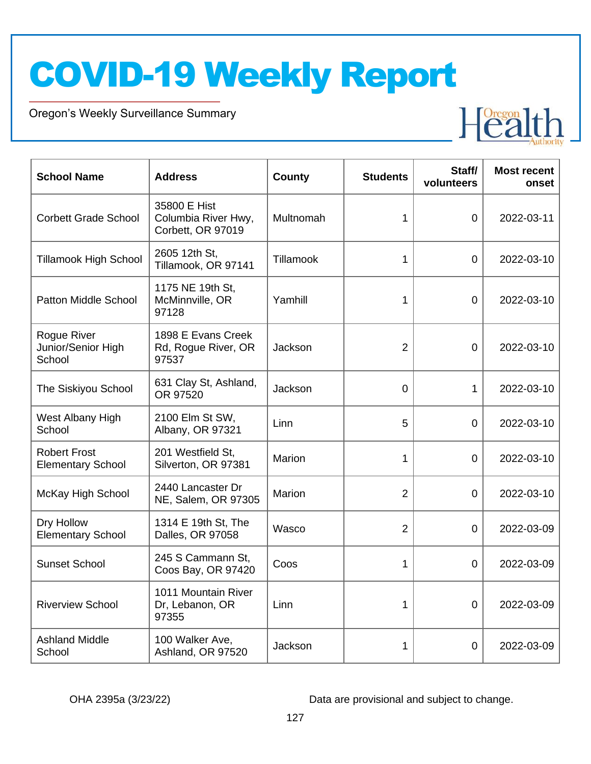Oregon's Weekly Surveillance Summary

Novel Coronavirus (COVID-19)



| <b>School Name</b>                              | <b>Address</b>                                           | County    | <b>Students</b> | Staff/<br>volunteers | <b>Most recent</b><br>onset |
|-------------------------------------------------|----------------------------------------------------------|-----------|-----------------|----------------------|-----------------------------|
| <b>Corbett Grade School</b>                     | 35800 E Hist<br>Columbia River Hwy,<br>Corbett, OR 97019 | Multnomah | 1               | 0                    | 2022-03-11                  |
| <b>Tillamook High School</b>                    | 2605 12th St,<br>Tillamook, OR 97141                     | Tillamook | 1               | 0                    | 2022-03-10                  |
| <b>Patton Middle School</b>                     | 1175 NE 19th St,<br>McMinnville, OR<br>97128             | Yamhill   | 1               | 0                    | 2022-03-10                  |
| Rogue River<br>Junior/Senior High<br>School     | 1898 E Evans Creek<br>Rd, Rogue River, OR<br>97537       | Jackson   | $\overline{2}$  | $\overline{0}$       | 2022-03-10                  |
| The Siskiyou School                             | 631 Clay St, Ashland,<br>OR 97520                        | Jackson   | 0               | $\mathbf{1}$         | 2022-03-10                  |
| West Albany High<br>School                      | 2100 Elm St SW,<br>Albany, OR 97321                      | Linn      | 5               | $\Omega$             | 2022-03-10                  |
| <b>Robert Frost</b><br><b>Elementary School</b> | 201 Westfield St,<br>Silverton, OR 97381                 | Marion    | 1               | $\overline{0}$       | 2022-03-10                  |
| McKay High School                               | 2440 Lancaster Dr<br>NE, Salem, OR 97305                 | Marion    | $\overline{2}$  | 0                    | 2022-03-10                  |
| Dry Hollow<br><b>Elementary School</b>          | 1314 E 19th St, The<br>Dalles, OR 97058                  | Wasco     | $\overline{2}$  | $\overline{0}$       | 2022-03-09                  |
| <b>Sunset School</b>                            | 245 S Cammann St,<br>Coos Bay, OR 97420                  | Coos      | 1               | $\overline{0}$       | 2022-03-09                  |
| <b>Riverview School</b>                         | 1011 Mountain River<br>Dr, Lebanon, OR<br>97355          | Linn      | 1               | $\overline{0}$       | 2022-03-09                  |
| <b>Ashland Middle</b><br>School                 | 100 Walker Ave,<br>Ashland, OR 97520                     | Jackson   | 1               | $\overline{0}$       | 2022-03-09                  |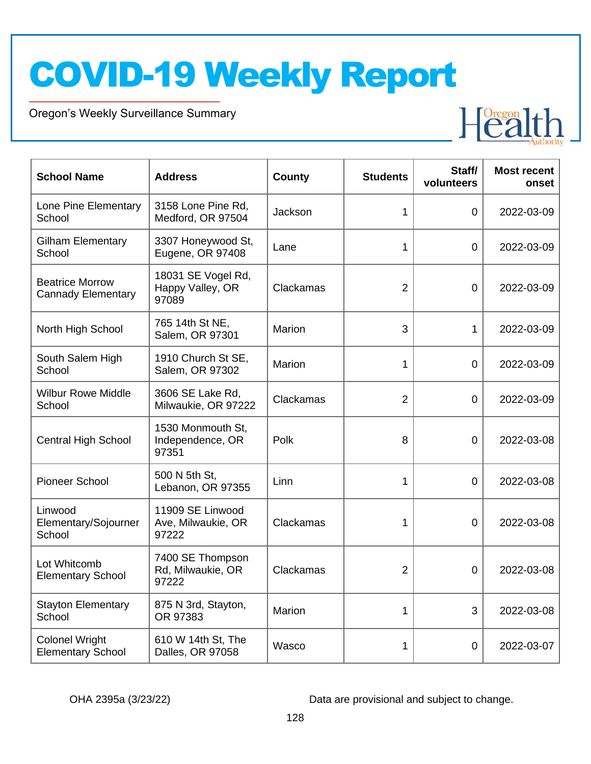Oregon's Weekly Surveillance Summary

Novel Coronavirus (COVID-19)



| <b>School Name</b>                                  | <b>Address</b>                                  | County    | <b>Students</b> | Staff/<br>volunteers | <b>Most recent</b><br>onset |
|-----------------------------------------------------|-------------------------------------------------|-----------|-----------------|----------------------|-----------------------------|
| Lone Pine Elementary<br>School                      | 3158 Lone Pine Rd,<br>Medford, OR 97504         | Jackson   | 1               | $\overline{0}$       | 2022-03-09                  |
| <b>Gilham Elementary</b><br>School                  | 3307 Honeywood St,<br>Eugene, OR 97408          | Lane      | 1               | 0                    | 2022-03-09                  |
| <b>Beatrice Morrow</b><br><b>Cannady Elementary</b> | 18031 SE Vogel Rd,<br>Happy Valley, OR<br>97089 | Clackamas | $\overline{2}$  | 0                    | 2022-03-09                  |
| North High School                                   | 765 14th St NE,<br>Salem, OR 97301              | Marion    | 3               | 1                    | 2022-03-09                  |
| South Salem High<br>School                          | 1910 Church St SE,<br>Salem, OR 97302           | Marion    | 1               | $\overline{0}$       | 2022-03-09                  |
| <b>Wilbur Rowe Middle</b><br>School                 | 3606 SE Lake Rd,<br>Milwaukie, OR 97222         | Clackamas | $\overline{2}$  | $\overline{0}$       | 2022-03-09                  |
| <b>Central High School</b>                          | 1530 Monmouth St,<br>Independence, OR<br>97351  | Polk      | 8               | $\mathbf 0$          | 2022-03-08                  |
| <b>Pioneer School</b>                               | 500 N 5th St.<br>Lebanon, OR 97355              | Linn      | 1               | 0                    | 2022-03-08                  |
| Linwood<br>Elementary/Sojourner<br>School           | 11909 SE Linwood<br>Ave, Milwaukie, OR<br>97222 | Clackamas | 1               | $\overline{0}$       | 2022-03-08                  |
| Lot Whitcomb<br><b>Elementary School</b>            | 7400 SE Thompson<br>Rd, Milwaukie, OR<br>97222  | Clackamas | $\overline{2}$  | $\mathbf 0$          | 2022-03-08                  |
| <b>Stayton Elementary</b><br>School                 | 875 N 3rd, Stayton,<br>OR 97383                 | Marion    | 1               | 3                    | 2022-03-08                  |
| <b>Colonel Wright</b><br><b>Elementary School</b>   | 610 W 14th St, The<br>Dalles, OR 97058          | Wasco     | 1               | 0                    | 2022-03-07                  |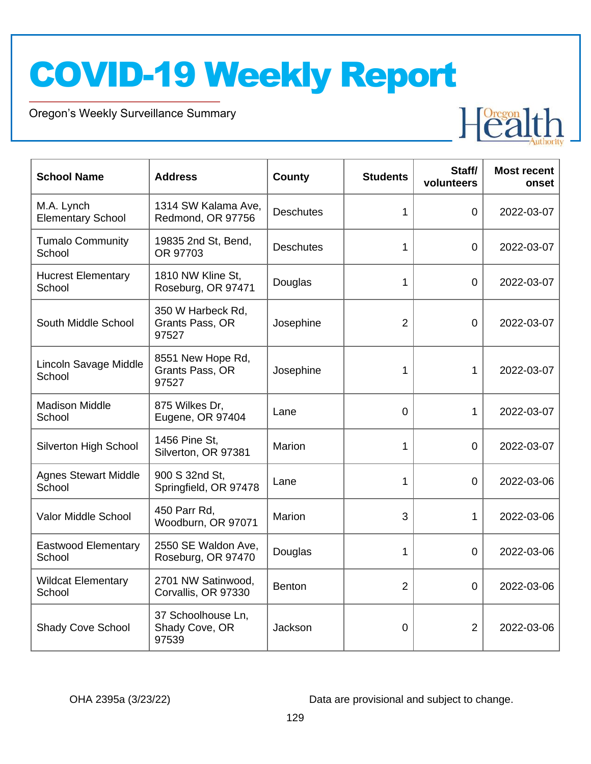Oregon's Weekly Surveillance Summary

Novel Coronavirus (COVID-19)



| <b>School Name</b>                     | <b>Address</b>                                | <b>County</b>    | <b>Students</b> | Staff/<br>volunteers | <b>Most recent</b><br>onset |
|----------------------------------------|-----------------------------------------------|------------------|-----------------|----------------------|-----------------------------|
| M.A. Lynch<br><b>Elementary School</b> | 1314 SW Kalama Ave,<br>Redmond, OR 97756      | <b>Deschutes</b> | 1               | $\overline{0}$       | 2022-03-07                  |
| <b>Tumalo Community</b><br>School      | 19835 2nd St, Bend,<br>OR 97703               | <b>Deschutes</b> | 1               | $\overline{0}$       | 2022-03-07                  |
| <b>Hucrest Elementary</b><br>School    | 1810 NW Kline St,<br>Roseburg, OR 97471       | Douglas          | 1               | 0                    | 2022-03-07                  |
| South Middle School                    | 350 W Harbeck Rd,<br>Grants Pass, OR<br>97527 | Josephine        | $\overline{2}$  | 0                    | 2022-03-07                  |
| Lincoln Savage Middle<br>School        | 8551 New Hope Rd,<br>Grants Pass, OR<br>97527 | Josephine        | 1               | 1                    | 2022-03-07                  |
| <b>Madison Middle</b><br>School        | 875 Wilkes Dr,<br>Eugene, OR 97404            | Lane             | $\Omega$        | 1                    | 2022-03-07                  |
| Silverton High School                  | 1456 Pine St.<br>Silverton, OR 97381          | Marion           | $\mathbf{1}$    | $\overline{0}$       | 2022-03-07                  |
| <b>Agnes Stewart Middle</b><br>School  | 900 S 32nd St,<br>Springfield, OR 97478       | Lane             | 1               | 0                    | 2022-03-06                  |
| Valor Middle School                    | 450 Parr Rd,<br>Woodburn, OR 97071            | Marion           | 3               | 1                    | 2022-03-06                  |
| <b>Eastwood Elementary</b><br>School   | 2550 SE Waldon Ave,<br>Roseburg, OR 97470     | Douglas          | 1               | $\mathbf 0$          | 2022-03-06                  |
| <b>Wildcat Elementary</b><br>School    | 2701 NW Satinwood,<br>Corvallis, OR 97330     | <b>Benton</b>    | $\overline{2}$  | 0                    | 2022-03-06                  |
| <b>Shady Cove School</b>               | 37 Schoolhouse Ln,<br>Shady Cove, OR<br>97539 | Jackson          | $\mathbf 0$     | $\overline{2}$       | 2022-03-06                  |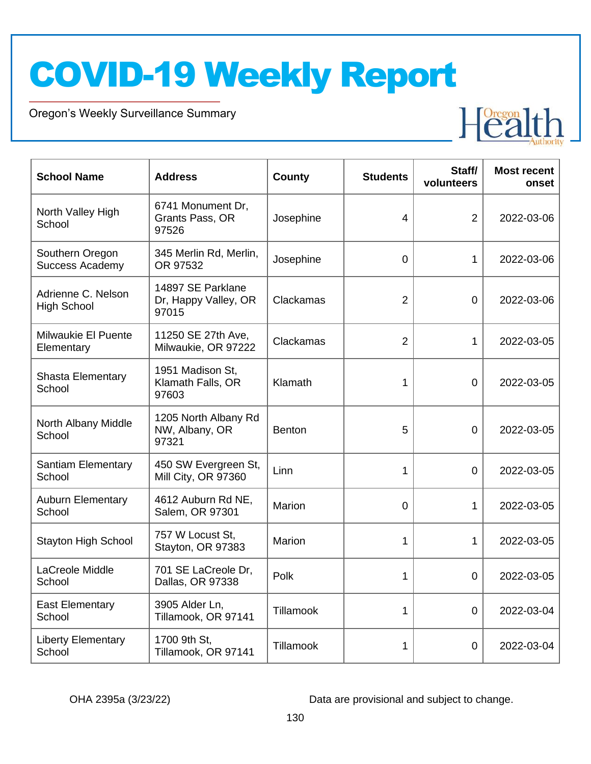Oregon's Weekly Surveillance Summary

Novel Coronavirus (COVID-19)



| <b>School Name</b>                        | <b>Address</b>                                     | <b>County</b> | <b>Students</b> | Staff/<br>volunteers | <b>Most recent</b><br>onset |
|-------------------------------------------|----------------------------------------------------|---------------|-----------------|----------------------|-----------------------------|
| North Valley High<br>School               | 6741 Monument Dr,<br>Grants Pass, OR<br>97526      | Josephine     | 4               | $\overline{2}$       | 2022-03-06                  |
| Southern Oregon<br><b>Success Academy</b> | 345 Merlin Rd, Merlin,<br>OR 97532                 | Josephine     | $\overline{0}$  | $\mathbf{1}$         | 2022-03-06                  |
| Adrienne C. Nelson<br><b>High School</b>  | 14897 SE Parklane<br>Dr, Happy Valley, OR<br>97015 | Clackamas     | $\overline{2}$  | 0                    | 2022-03-06                  |
| Milwaukie El Puente<br>Elementary         | 11250 SE 27th Ave,<br>Milwaukie, OR 97222          | Clackamas     | $\overline{2}$  | 1                    | 2022-03-05                  |
| Shasta Elementary<br>School               | 1951 Madison St,<br>Klamath Falls, OR<br>97603     | Klamath       | 1               | 0                    | 2022-03-05                  |
| North Albany Middle<br>School             | 1205 North Albany Rd<br>NW, Albany, OR<br>97321    | <b>Benton</b> | 5               | $\overline{0}$       | 2022-03-05                  |
| <b>Santiam Elementary</b><br>School       | 450 SW Evergreen St,<br>Mill City, OR 97360        | Linn          | 1               | $\overline{0}$       | 2022-03-05                  |
| <b>Auburn Elementary</b><br>School        | 4612 Auburn Rd NE,<br>Salem, OR 97301              | Marion        | $\overline{0}$  | 1                    | 2022-03-05                  |
| <b>Stayton High School</b>                | 757 W Locust St,<br>Stayton, OR 97383              | Marion        | 1               | $\mathbf{1}$         | 2022-03-05                  |
| LaCreole Middle<br>School                 | 701 SE LaCreole Dr,<br>Dallas, OR 97338            | Polk          | 1               | 0                    | 2022-03-05                  |
| <b>East Elementary</b><br>School          | 3905 Alder Ln,<br>Tillamook, OR 97141              | Tillamook     | 1               | $\overline{0}$       | 2022-03-04                  |
| <b>Liberty Elementary</b><br>School       | 1700 9th St,<br>Tillamook, OR 97141                | Tillamook     | 1               | $\mathbf 0$          | 2022-03-04                  |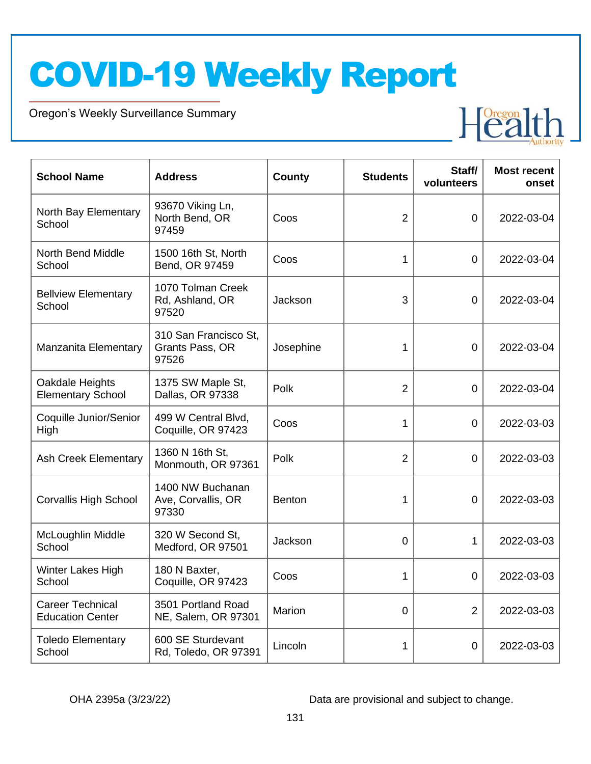Oregon's Weekly Surveillance Summary

Novel Coronavirus (COVID-19)



| <b>School Name</b>                                 | <b>Address</b>                                    | <b>County</b> | <b>Students</b> | Staff/<br>volunteers | <b>Most recent</b><br>onset |
|----------------------------------------------------|---------------------------------------------------|---------------|-----------------|----------------------|-----------------------------|
| North Bay Elementary<br>School                     | 93670 Viking Ln,<br>North Bend, OR<br>97459       | Coos          | $\overline{2}$  | $\overline{0}$       | 2022-03-04                  |
| <b>North Bend Middle</b><br>School                 | 1500 16th St, North<br>Bend, OR 97459             | Coos          | 1               | $\Omega$             | 2022-03-04                  |
| <b>Bellview Elementary</b><br>School               | 1070 Tolman Creek<br>Rd, Ashland, OR<br>97520     | Jackson       | 3               | $\mathbf 0$          | 2022-03-04                  |
| Manzanita Elementary                               | 310 San Francisco St,<br>Grants Pass, OR<br>97526 | Josephine     | 1               | $\overline{0}$       | 2022-03-04                  |
| Oakdale Heights<br><b>Elementary School</b>        | 1375 SW Maple St,<br>Dallas, OR 97338             | Polk          | $\overline{2}$  | $\overline{0}$       | 2022-03-04                  |
| Coquille Junior/Senior<br>High                     | 499 W Central Blvd,<br>Coquille, OR 97423         | Coos          | 1               | 0                    | 2022-03-03                  |
| <b>Ash Creek Elementary</b>                        | 1360 N 16th St,<br>Monmouth, OR 97361             | Polk          | $\overline{2}$  | $\Omega$             | 2022-03-03                  |
| <b>Corvallis High School</b>                       | 1400 NW Buchanan<br>Ave, Corvallis, OR<br>97330   | <b>Benton</b> | 1               | 0                    | 2022-03-03                  |
| McLoughlin Middle<br>School                        | 320 W Second St,<br>Medford, OR 97501             | Jackson       | $\Omega$        | $\mathbf{1}$         | 2022-03-03                  |
| Winter Lakes High<br>School                        | 180 N Baxter,<br>Coquille, OR 97423               | Coos          | 1               | $\overline{0}$       | 2022-03-03                  |
| <b>Career Technical</b><br><b>Education Center</b> | 3501 Portland Road<br>NE, Salem, OR 97301         | Marion        | $\overline{0}$  | 2                    | 2022-03-03                  |
| <b>Toledo Elementary</b><br>School                 | 600 SE Sturdevant<br>Rd, Toledo, OR 97391         | Lincoln       | 1               | $\overline{0}$       | 2022-03-03                  |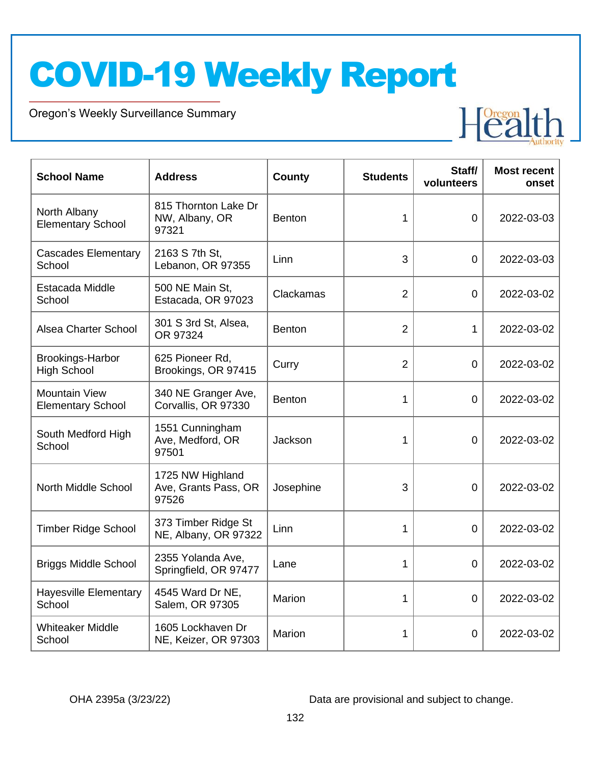Oregon's Weekly Surveillance Summary

Novel Coronavirus (COVID-19)



| <b>School Name</b>                               | <b>Address</b>                                    | County        | <b>Students</b> | Staff/<br>volunteers | <b>Most recent</b><br>onset |
|--------------------------------------------------|---------------------------------------------------|---------------|-----------------|----------------------|-----------------------------|
| North Albany<br><b>Elementary School</b>         | 815 Thornton Lake Dr<br>NW, Albany, OR<br>97321   | <b>Benton</b> | 1               | 0                    | 2022-03-03                  |
| <b>Cascades Elementary</b><br>School             | 2163 S 7th St,<br>Lebanon, OR 97355               | Linn          | 3               | 0                    | 2022-03-03                  |
| Estacada Middle<br>School                        | 500 NE Main St,<br>Estacada, OR 97023             | Clackamas     | $\overline{2}$  | $\mathbf 0$          | 2022-03-02                  |
| Alsea Charter School                             | 301 S 3rd St, Alsea,<br>OR 97324                  | <b>Benton</b> | $\overline{2}$  | 1                    | 2022-03-02                  |
| Brookings-Harbor<br><b>High School</b>           | 625 Pioneer Rd,<br>Brookings, OR 97415            | Curry         | $\overline{2}$  | $\mathbf 0$          | 2022-03-02                  |
| <b>Mountain View</b><br><b>Elementary School</b> | 340 NE Granger Ave,<br>Corvallis, OR 97330        | <b>Benton</b> | 1               | $\overline{0}$       | 2022-03-02                  |
| South Medford High<br>School                     | 1551 Cunningham<br>Ave, Medford, OR<br>97501      | Jackson       | 1               | 0                    | 2022-03-02                  |
| North Middle School                              | 1725 NW Highland<br>Ave, Grants Pass, OR<br>97526 | Josephine     | 3               | 0                    | 2022-03-02                  |
| <b>Timber Ridge School</b>                       | 373 Timber Ridge St<br>NE, Albany, OR 97322       | Linn          | 1               | 0                    | 2022-03-02                  |
| <b>Briggs Middle School</b>                      | 2355 Yolanda Ave,<br>Springfield, OR 97477        | Lane          | 1               | $\mathbf 0$          | 2022-03-02                  |
| <b>Hayesville Elementary</b><br>School           | 4545 Ward Dr NE,<br>Salem, OR 97305               | Marion        | 1               | 0                    | 2022-03-02                  |
| <b>Whiteaker Middle</b><br>School                | 1605 Lockhaven Dr<br>NE, Keizer, OR 97303         | Marion        | 1               | 0                    | 2022-03-02                  |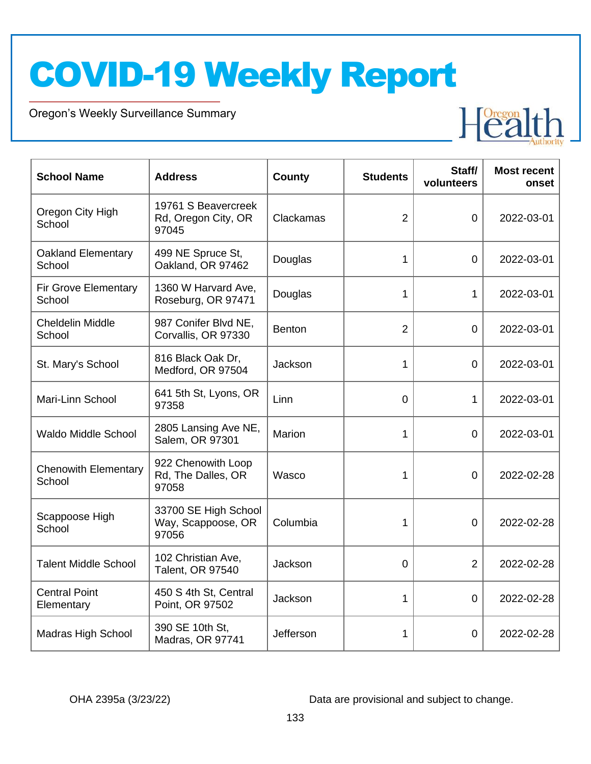Oregon's Weekly Surveillance Summary

Novel Coronavirus (COVID-19)



| <b>School Name</b>                    | <b>Address</b>                                      | County        | <b>Students</b> | Staff/<br>volunteers | <b>Most recent</b><br>onset |
|---------------------------------------|-----------------------------------------------------|---------------|-----------------|----------------------|-----------------------------|
| Oregon City High<br>School            | 19761 S Beavercreek<br>Rd, Oregon City, OR<br>97045 | Clackamas     | $\overline{2}$  | $\overline{0}$       | 2022-03-01                  |
| <b>Oakland Elementary</b><br>School   | 499 NE Spruce St,<br>Oakland, OR 97462              | Douglas       | 1               | $\overline{0}$       | 2022-03-01                  |
| <b>Fir Grove Elementary</b><br>School | 1360 W Harvard Ave,<br>Roseburg, OR 97471           | Douglas       | 1               | 1                    | 2022-03-01                  |
| <b>Cheldelin Middle</b><br>School     | 987 Conifer Blvd NE,<br>Corvallis, OR 97330         | <b>Benton</b> | $\overline{2}$  | $\overline{0}$       | 2022-03-01                  |
| St. Mary's School                     | 816 Black Oak Dr,<br>Medford, OR 97504              | Jackson       | 1               | 0                    | 2022-03-01                  |
| Mari-Linn School                      | 641 5th St, Lyons, OR<br>97358                      | Linn          | $\overline{0}$  | $\mathbf{1}$         | 2022-03-01                  |
| <b>Waldo Middle School</b>            | 2805 Lansing Ave NE,<br>Salem, OR 97301             | Marion        | 1               | $\overline{0}$       | 2022-03-01                  |
| <b>Chenowith Elementary</b><br>School | 922 Chenowith Loop<br>Rd, The Dalles, OR<br>97058   | Wasco         | 1               | $\overline{0}$       | 2022-02-28                  |
| Scappoose High<br>School              | 33700 SE High School<br>Way, Scappoose, OR<br>97056 | Columbia      | 1               | $\overline{0}$       | 2022-02-28                  |
| <b>Talent Middle School</b>           | 102 Christian Ave,<br>Talent, OR 97540              | Jackson       | $\mathbf 0$     | $\overline{2}$       | 2022-02-28                  |
| <b>Central Point</b><br>Elementary    | 450 S 4th St, Central<br>Point, OR 97502            | Jackson       | 1               | 0                    | 2022-02-28                  |
| <b>Madras High School</b>             | 390 SE 10th St,<br>Madras, OR 97741                 | Jefferson     | 1               | 0                    | 2022-02-28                  |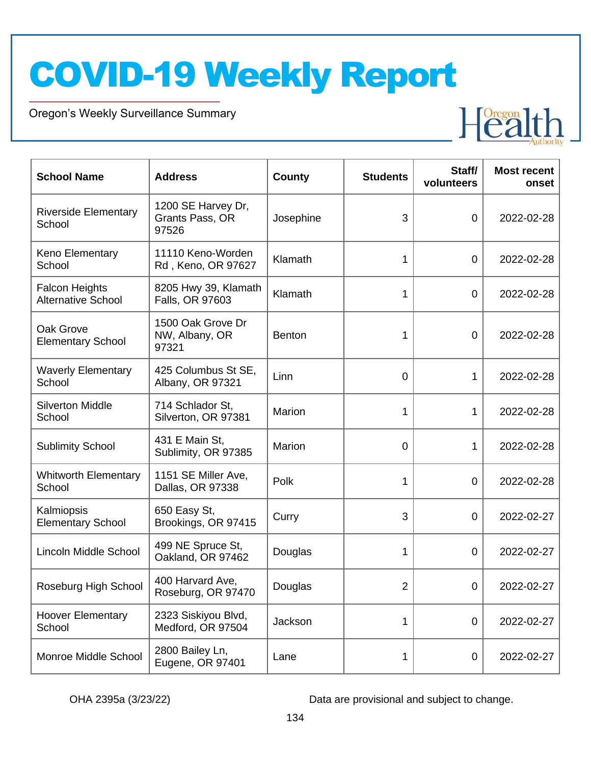Oregon's Weekly Surveillance Summary

Novel Coronavirus (COVID-19)



| <b>School Name</b>                                 | <b>Address</b>                                 | <b>County</b> | <b>Students</b> | Staff/<br>volunteers | <b>Most recent</b><br>onset |
|----------------------------------------------------|------------------------------------------------|---------------|-----------------|----------------------|-----------------------------|
| <b>Riverside Elementary</b><br>School              | 1200 SE Harvey Dr,<br>Grants Pass, OR<br>97526 | Josephine     | 3               | $\mathbf 0$          | 2022-02-28                  |
| Keno Elementary<br>School                          | 11110 Keno-Worden<br>Rd, Keno, OR 97627        | Klamath       | 1               | $\mathbf 0$          | 2022-02-28                  |
| <b>Falcon Heights</b><br><b>Alternative School</b> | 8205 Hwy 39, Klamath<br>Falls, OR 97603        | Klamath       | 1               | $\mathbf 0$          | 2022-02-28                  |
| Oak Grove<br><b>Elementary School</b>              | 1500 Oak Grove Dr<br>NW, Albany, OR<br>97321   | <b>Benton</b> | 1               | $\mathbf 0$          | 2022-02-28                  |
| <b>Waverly Elementary</b><br>School                | 425 Columbus St SE,<br>Albany, OR 97321        | Linn          | $\mathbf 0$     | 1                    | 2022-02-28                  |
| <b>Silverton Middle</b><br>School                  | 714 Schlador St,<br>Silverton, OR 97381        | Marion        | 1               | 1                    | 2022-02-28                  |
| <b>Sublimity School</b>                            | 431 E Main St,<br>Sublimity, OR 97385          | Marion        | $\overline{0}$  | 1                    | 2022-02-28                  |
| <b>Whitworth Elementary</b><br>School              | 1151 SE Miller Ave,<br>Dallas, OR 97338        | Polk          | 1               | $\mathbf 0$          | 2022-02-28                  |
| Kalmiopsis<br><b>Elementary School</b>             | 650 Easy St,<br>Brookings, OR 97415            | Curry         | 3               | $\overline{0}$       | 2022-02-27                  |
| Lincoln Middle School                              | 499 NE Spruce St,<br>Oakland, OR 97462         | Douglas       | 1               | $\overline{0}$       | 2022-02-27                  |
| Roseburg High School                               | 400 Harvard Ave,<br>Roseburg, OR 97470         | Douglas       | 2               | $\mathbf 0$          | 2022-02-27                  |
| <b>Hoover Elementary</b><br>School                 | 2323 Siskiyou Blvd,<br>Medford, OR 97504       | Jackson       | 1               | $\overline{0}$       | 2022-02-27                  |
| Monroe Middle School                               | 2800 Bailey Ln,<br>Eugene, OR 97401            | Lane          | 1               | $\mathbf 0$          | 2022-02-27                  |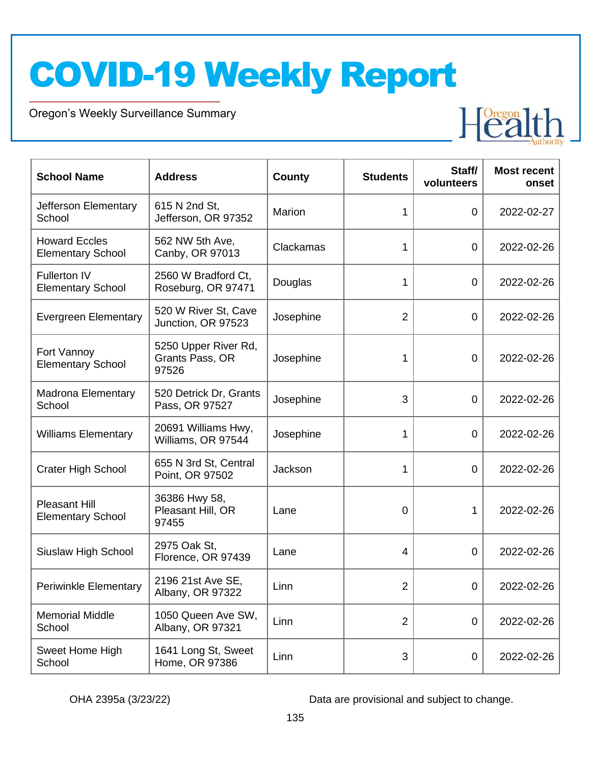Oregon's Weekly Surveillance Summary

Novel Coronavirus (COVID-19)



| <b>School Name</b>                               | <b>Address</b>                                   | <b>County</b> | <b>Students</b> | Staff/<br>volunteers | <b>Most recent</b><br>onset |
|--------------------------------------------------|--------------------------------------------------|---------------|-----------------|----------------------|-----------------------------|
| Jefferson Elementary<br>School                   | 615 N 2nd St,<br>Jefferson, OR 97352             | Marion        | 1               | 0                    | 2022-02-27                  |
| <b>Howard Eccles</b><br><b>Elementary School</b> | 562 NW 5th Ave,<br>Canby, OR 97013               | Clackamas     | 1               | $\overline{0}$       | 2022-02-26                  |
| <b>Fullerton IV</b><br><b>Elementary School</b>  | 2560 W Bradford Ct,<br>Roseburg, OR 97471        | Douglas       | 1               | $\mathbf 0$          | 2022-02-26                  |
| <b>Evergreen Elementary</b>                      | 520 W River St, Cave<br>Junction, OR 97523       | Josephine     | $\overline{2}$  | $\mathbf 0$          | 2022-02-26                  |
| Fort Vannoy<br><b>Elementary School</b>          | 5250 Upper River Rd,<br>Grants Pass, OR<br>97526 | Josephine     | 1               | $\overline{0}$       | 2022-02-26                  |
| <b>Madrona Elementary</b><br>School              | 520 Detrick Dr, Grants<br>Pass, OR 97527         | Josephine     | 3               | $\overline{0}$       | 2022-02-26                  |
| <b>Williams Elementary</b>                       | 20691 Williams Hwy,<br>Williams, OR 97544        | Josephine     | 1               | $\overline{0}$       | 2022-02-26                  |
| <b>Crater High School</b>                        | 655 N 3rd St, Central<br>Point, OR 97502         | Jackson       | 1               | 0                    | 2022-02-26                  |
| <b>Pleasant Hill</b><br><b>Elementary School</b> | 36386 Hwy 58,<br>Pleasant Hill, OR<br>97455      | Lane          | 0               | 1                    | 2022-02-26                  |
| Siuslaw High School                              | 2975 Oak St,<br>Florence, OR 97439               | Lane          | 4               | 0                    | 2022-02-26                  |
| <b>Periwinkle Elementary</b>                     | 2196 21st Ave SE,<br>Albany, OR 97322            | Linn          | $\overline{2}$  | 0                    | 2022-02-26                  |
| <b>Memorial Middle</b><br>School                 | 1050 Queen Ave SW,<br>Albany, OR 97321           | Linn          | $\overline{2}$  | $\overline{0}$       | 2022-02-26                  |
| Sweet Home High<br>School                        | 1641 Long St, Sweet<br>Home, OR 97386            | Linn          | 3               | $\overline{0}$       | 2022-02-26                  |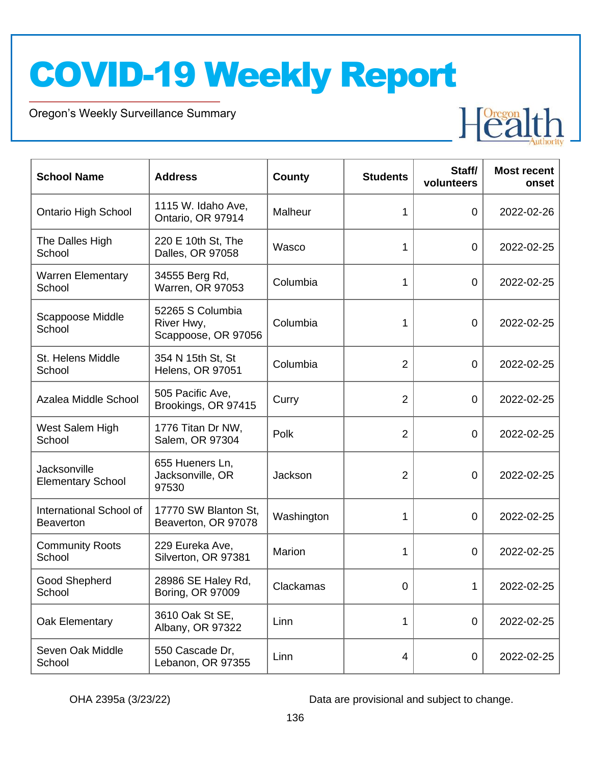Oregon's Weekly Surveillance Summary

Novel Coronavirus (COVID-19)



| <b>School Name</b>                          | <b>Address</b>                                        | <b>County</b> | <b>Students</b> | Staff/<br>volunteers | <b>Most recent</b><br>onset |
|---------------------------------------------|-------------------------------------------------------|---------------|-----------------|----------------------|-----------------------------|
| <b>Ontario High School</b>                  | 1115 W. Idaho Ave,<br>Ontario, OR 97914               | Malheur       | 1               | $\overline{0}$       | 2022-02-26                  |
| The Dalles High<br>School                   | 220 E 10th St, The<br>Dalles, OR 97058                | Wasco         | 1               | $\overline{0}$       | 2022-02-25                  |
| <b>Warren Elementary</b><br>School          | 34555 Berg Rd,<br>Warren, OR 97053                    | Columbia      | 1               | $\mathbf 0$          | 2022-02-25                  |
| Scappoose Middle<br>School                  | 52265 S Columbia<br>River Hwy,<br>Scappoose, OR 97056 | Columbia      | 1               | $\mathbf 0$          | 2022-02-25                  |
| St. Helens Middle<br>School                 | 354 N 15th St, St<br><b>Helens, OR 97051</b>          | Columbia      | $\overline{2}$  | $\mathbf 0$          | 2022-02-25                  |
| Azalea Middle School                        | 505 Pacific Ave,<br>Brookings, OR 97415               | Curry         | $\overline{2}$  | $\mathbf 0$          | 2022-02-25                  |
| West Salem High<br>School                   | 1776 Titan Dr NW,<br>Salem, OR 97304                  | Polk          | $\overline{2}$  | $\mathbf 0$          | 2022-02-25                  |
| Jacksonville<br><b>Elementary School</b>    | 655 Hueners Ln,<br>Jacksonville, OR<br>97530          | Jackson       | $\overline{2}$  | $\overline{0}$       | 2022-02-25                  |
| International School of<br><b>Beaverton</b> | 17770 SW Blanton St,<br>Beaverton, OR 97078           | Washington    | 1               | $\mathbf 0$          | 2022-02-25                  |
| <b>Community Roots</b><br>School            | 229 Eureka Ave,<br>Silverton, OR 97381                | Marion        | 1               | $\overline{0}$       | 2022-02-25                  |
| Good Shepherd<br>School                     | 28986 SE Haley Rd,<br>Boring, OR 97009                | Clackamas     | 0               | 1                    | 2022-02-25                  |
| Oak Elementary                              | 3610 Oak St SE,<br>Albany, OR 97322                   | Linn          | 1               | $\overline{0}$       | 2022-02-25                  |
| Seven Oak Middle<br>School                  | 550 Cascade Dr,<br>Lebanon, OR 97355                  | Linn          | 4               | $\mathbf 0$          | 2022-02-25                  |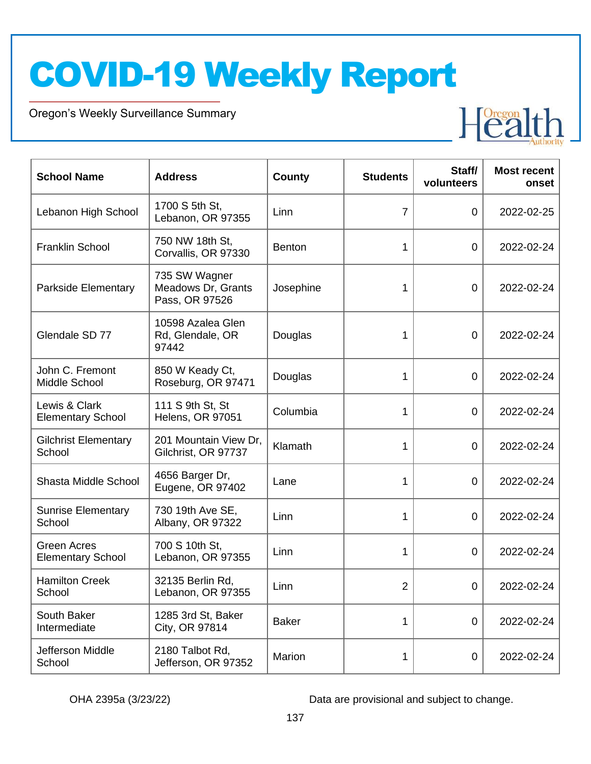Oregon's Weekly Surveillance Summary

Novel Coronavirus (COVID-19)



| <b>School Name</b>                        | <b>Address</b>                                        | County       | <b>Students</b> | Staff/<br>volunteers | <b>Most recent</b><br>onset |
|-------------------------------------------|-------------------------------------------------------|--------------|-----------------|----------------------|-----------------------------|
| Lebanon High School                       | 1700 S 5th St,<br>Lebanon, OR 97355                   | Linn         | $\overline{7}$  | 0                    | 2022-02-25                  |
| <b>Franklin School</b>                    | 750 NW 18th St,<br>Corvallis, OR 97330                | Benton       | 1               | 0                    | 2022-02-24                  |
| Parkside Elementary                       | 735 SW Wagner<br>Meadows Dr, Grants<br>Pass, OR 97526 | Josephine    | 1               | $\overline{0}$       | 2022-02-24                  |
| Glendale SD 77                            | 10598 Azalea Glen<br>Rd, Glendale, OR<br>97442        | Douglas      | 1               | $\overline{0}$       | 2022-02-24                  |
| John C. Fremont<br>Middle School          | 850 W Keady Ct,<br>Roseburg, OR 97471                 | Douglas      | 1               | $\overline{0}$       | 2022-02-24                  |
| Lewis & Clark<br><b>Elementary School</b> | 111 S 9th St, St<br><b>Helens, OR 97051</b>           | Columbia     | 1               | $\overline{0}$       | 2022-02-24                  |
| <b>Gilchrist Elementary</b><br>School     | 201 Mountain View Dr,<br>Gilchrist, OR 97737          | Klamath      | 1               | $\overline{0}$       | 2022-02-24                  |
| Shasta Middle School                      | 4656 Barger Dr,<br>Eugene, OR 97402                   | Lane         | 1               | $\overline{0}$       | 2022-02-24                  |
| <b>Sunrise Elementary</b><br>School       | 730 19th Ave SE,<br>Albany, OR 97322                  | Linn         | 1               | $\overline{0}$       | 2022-02-24                  |
| Green Acres<br><b>Elementary School</b>   | 700 S 10th St,<br>Lebanon, OR 97355                   | Linn         | 1               | $\overline{0}$       | 2022-02-24                  |
| <b>Hamilton Creek</b><br>School           | 32135 Berlin Rd,<br>Lebanon, OR 97355                 | Linn         | 2               | 0                    | 2022-02-24                  |
| South Baker<br>Intermediate               | 1285 3rd St, Baker<br>City, OR 97814                  | <b>Baker</b> | 1               | $\overline{0}$       | 2022-02-24                  |
| Jefferson Middle<br>School                | 2180 Talbot Rd,<br>Jefferson, OR 97352                | Marion       | 1               | $\overline{0}$       | 2022-02-24                  |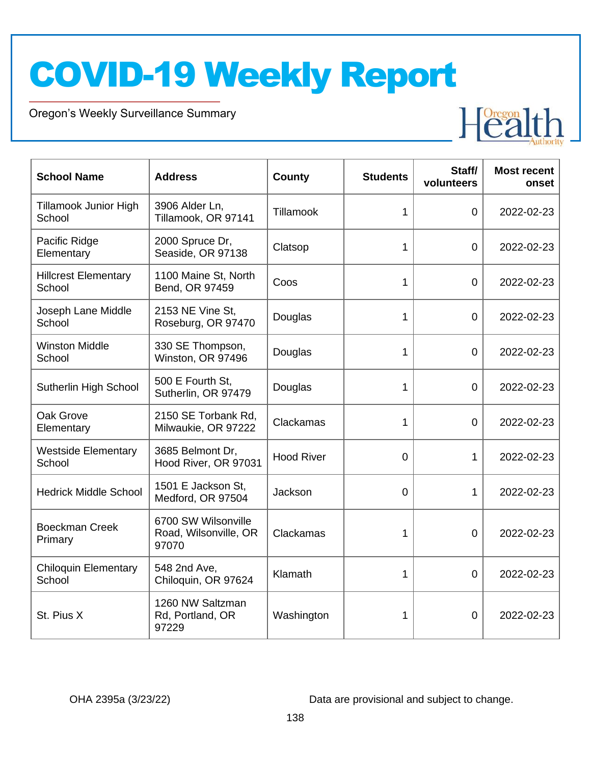Oregon's Weekly Surveillance Summary

Novel Coronavirus (COVID-19)



| <b>School Name</b>                     | <b>Address</b>                                        | <b>County</b>     | <b>Students</b> | Staff/<br>volunteers | <b>Most recent</b><br>onset |
|----------------------------------------|-------------------------------------------------------|-------------------|-----------------|----------------------|-----------------------------|
| <b>Tillamook Junior High</b><br>School | 3906 Alder Ln,<br>Tillamook, OR 97141                 | Tillamook         | 1               | $\overline{0}$       | 2022-02-23                  |
| Pacific Ridge<br>Elementary            | 2000 Spruce Dr,<br>Seaside, OR 97138                  | Clatsop           | 1               | $\overline{0}$       | 2022-02-23                  |
| <b>Hillcrest Elementary</b><br>School  | 1100 Maine St, North<br>Bend, OR 97459                | Coos              | 1               | $\overline{0}$       | 2022-02-23                  |
| Joseph Lane Middle<br>School           | 2153 NE Vine St.<br>Roseburg, OR 97470                | Douglas           | 1               | $\overline{0}$       | 2022-02-23                  |
| <b>Winston Middle</b><br>School        | 330 SE Thompson,<br>Winston, OR 97496                 | Douglas           | 1               | $\mathbf 0$          | 2022-02-23                  |
| Sutherlin High School                  | 500 E Fourth St,<br>Sutherlin, OR 97479               | Douglas           | $\mathbf{1}$    | $\mathbf 0$          | 2022-02-23                  |
| Oak Grove<br>Elementary                | 2150 SE Torbank Rd,<br>Milwaukie, OR 97222            | Clackamas         | 1               | 0                    | 2022-02-23                  |
| <b>Westside Elementary</b><br>School   | 3685 Belmont Dr,<br>Hood River, OR 97031              | <b>Hood River</b> | $\Omega$        | 1                    | 2022-02-23                  |
| <b>Hedrick Middle School</b>           | 1501 E Jackson St,<br>Medford, OR 97504               | Jackson           | $\overline{0}$  | 1                    | 2022-02-23                  |
| <b>Boeckman Creek</b><br>Primary       | 6700 SW Wilsonville<br>Road, Wilsonville, OR<br>97070 | Clackamas         | 1               | $\overline{0}$       | 2022-02-23                  |
| <b>Chiloquin Elementary</b><br>School  | 548 2nd Ave,<br>Chiloquin, OR 97624                   | Klamath           | 1               | $\Omega$             | 2022-02-23                  |
| St. Pius X                             | 1260 NW Saltzman<br>Rd, Portland, OR<br>97229         | Washington        | 1               | 0                    | 2022-02-23                  |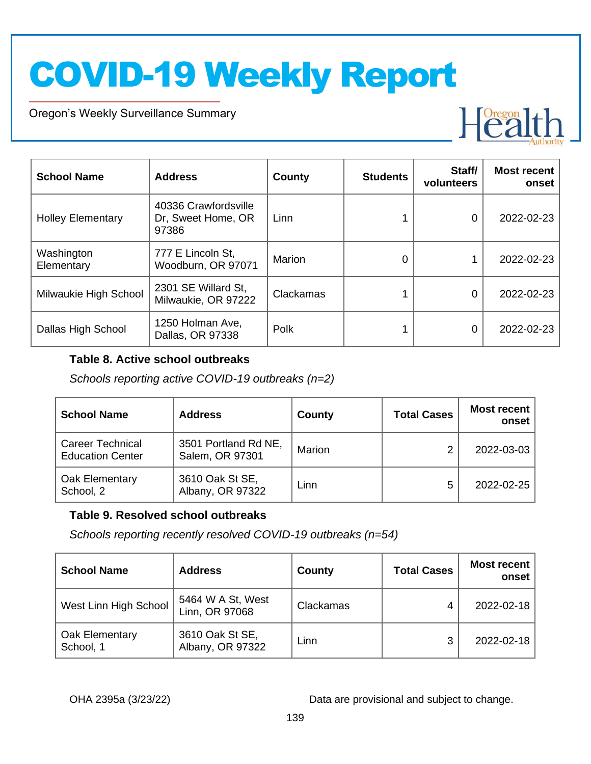Oregon's Weekly Surveillance Summary

Novel Coronavirus (COVID-19)



| <b>School Name</b>       | <b>Address</b>                                      | County    | <b>Students</b> | Staff/<br>volunteers | <b>Most recent</b><br>onset |
|--------------------------|-----------------------------------------------------|-----------|-----------------|----------------------|-----------------------------|
| <b>Holley Elementary</b> | 40336 Crawfordsville<br>Dr, Sweet Home, OR<br>97386 | Linn      |                 | 0                    | 2022-02-23                  |
| Washington<br>Elementary | 777 E Lincoln St,<br>Woodburn, OR 97071             | Marion    |                 |                      | 2022-02-23                  |
| Milwaukie High School    | 2301 SE Willard St,<br>Milwaukie, OR 97222          | Clackamas |                 | 0                    | 2022-02-23                  |
| Dallas High School       | 1250 Holman Ave,<br>Dallas, OR 97338                | Polk      |                 | 0                    | 2022-02-23                  |

#### **Table 8. Active school outbreaks**

*Schools reporting active COVID-19 outbreaks (n=2)*

| <b>School Name</b>                                 | <b>Address</b>                          | County | <b>Total Cases</b> | <b>Most recent</b><br>onset |
|----------------------------------------------------|-----------------------------------------|--------|--------------------|-----------------------------|
| <b>Career Technical</b><br><b>Education Center</b> | 3501 Portland Rd NE,<br>Salem, OR 97301 | Marion | ⌒                  | 2022-03-03                  |
| Oak Elementary<br>School, 2                        | 3610 Oak St SE,<br>Albany, OR 97322     | Linn   | 5                  | 2022-02-25                  |

#### **Table 9. Resolved school outbreaks**

*Schools reporting recently resolved COVID-19 outbreaks (n=54)*

| <b>School Name</b>          | <b>Address</b>                      | County    | <b>Total Cases</b> | <b>Most recent</b><br>onset |
|-----------------------------|-------------------------------------|-----------|--------------------|-----------------------------|
| West Linn High School       | 5464 W A St, West<br>Linn, OR 97068 | Clackamas | 4                  | 2022-02-18                  |
| Oak Elementary<br>School, 1 | 3610 Oak St SE,<br>Albany, OR 97322 | Linn      | 3                  | 2022-02-18                  |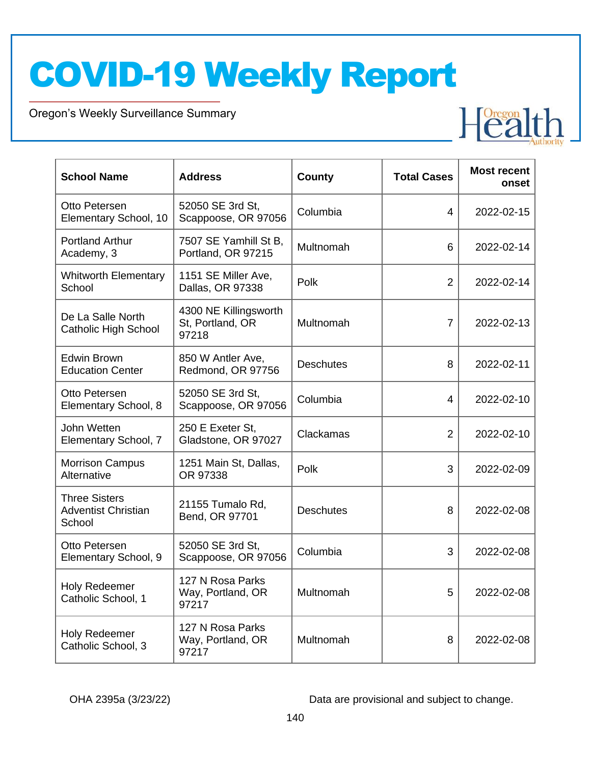Oregon's Weekly Surveillance Summary

Novel Coronavirus (COVID-19)

| <b>School Name</b>                                           | <b>Address</b>                                     | <b>County</b>    | <b>Total Cases</b> | <b>Most recent</b><br>onset |
|--------------------------------------------------------------|----------------------------------------------------|------------------|--------------------|-----------------------------|
| Otto Petersen<br>Elementary School, 10                       | 52050 SE 3rd St,<br>Scappoose, OR 97056            | Columbia         | $\overline{4}$     | 2022-02-15                  |
| <b>Portland Arthur</b><br>Academy, 3                         | 7507 SE Yamhill St B,<br>Portland, OR 97215        | Multnomah        | 6                  | 2022-02-14                  |
| <b>Whitworth Elementary</b><br>School                        | 1151 SE Miller Ave,<br>Dallas, OR 97338            | Polk             | $\overline{2}$     | 2022-02-14                  |
| De La Salle North<br><b>Catholic High School</b>             | 4300 NE Killingsworth<br>St, Portland, OR<br>97218 | Multnomah        | $\overline{7}$     | 2022-02-13                  |
| Edwin Brown<br><b>Education Center</b>                       | 850 W Antler Ave,<br>Redmond, OR 97756             | <b>Deschutes</b> | 8                  | 2022-02-11                  |
| Otto Petersen<br>Elementary School, 8                        | 52050 SE 3rd St,<br>Scappoose, OR 97056            | Columbia         | $\overline{4}$     | 2022-02-10                  |
| John Wetten<br>Elementary School, 7                          | 250 E Exeter St,<br>Gladstone, OR 97027            | Clackamas        | $\overline{2}$     | 2022-02-10                  |
| <b>Morrison Campus</b><br>Alternative                        | 1251 Main St, Dallas,<br>OR 97338                  | Polk             | 3                  | 2022-02-09                  |
| <b>Three Sisters</b><br><b>Adventist Christian</b><br>School | 21155 Tumalo Rd,<br>Bend, OR 97701                 | <b>Deschutes</b> | 8                  | 2022-02-08                  |
| Otto Petersen<br>Elementary School, 9                        | 52050 SE 3rd St,<br>Scappoose, OR 97056            | Columbia         | 3                  | 2022-02-08                  |
| <b>Holy Redeemer</b><br>Catholic School, 1                   | 127 N Rosa Parks<br>Way, Portland, OR<br>97217     | Multnomah        | 5                  | 2022-02-08                  |
| <b>Holy Redeemer</b><br>Catholic School, 3                   | 127 N Rosa Parks<br>Way, Portland, OR<br>97217     | Multnomah        | 8                  | 2022-02-08                  |

OHA 2395a (3/23/22) Data are provisional and subject to change.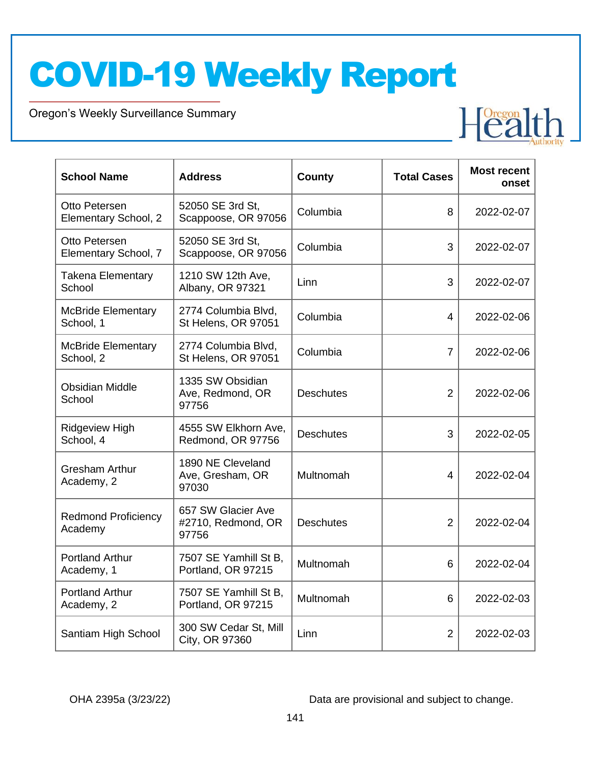Oregon's Weekly Surveillance Summary

Novel Coronavirus (COVID-19)

| <b>School Name</b>                     | <b>Address</b>                                    | <b>County</b>    | <b>Total Cases</b> | <b>Most recent</b><br>onset |
|----------------------------------------|---------------------------------------------------|------------------|--------------------|-----------------------------|
| Otto Petersen<br>Elementary School, 2  | 52050 SE 3rd St.<br>Scappoose, OR 97056           | Columbia         | 8                  | 2022-02-07                  |
| Otto Petersen<br>Elementary School, 7  | 52050 SE 3rd St,<br>Scappoose, OR 97056           | Columbia         | 3                  | 2022-02-07                  |
| <b>Takena Elementary</b><br>School     | 1210 SW 12th Ave,<br>Albany, OR 97321             | Linn             | 3                  | 2022-02-07                  |
| <b>McBride Elementary</b><br>School, 1 | 2774 Columbia Blvd,<br>St Helens, OR 97051        | Columbia         | $\overline{4}$     | 2022-02-06                  |
| <b>McBride Elementary</b><br>School, 2 | 2774 Columbia Blvd,<br>St Helens, OR 97051        | Columbia         | $\overline{7}$     | 2022-02-06                  |
| <b>Obsidian Middle</b><br>School       | 1335 SW Obsidian<br>Ave, Redmond, OR<br>97756     | <b>Deschutes</b> | $\overline{2}$     | 2022-02-06                  |
| <b>Ridgeview High</b><br>School, 4     | 4555 SW Elkhorn Ave,<br>Redmond, OR 97756         | <b>Deschutes</b> | 3                  | 2022-02-05                  |
| <b>Gresham Arthur</b><br>Academy, 2    | 1890 NE Cleveland<br>Ave, Gresham, OR<br>97030    | Multnomah        | $\overline{4}$     | 2022-02-04                  |
| <b>Redmond Proficiency</b><br>Academy  | 657 SW Glacier Ave<br>#2710, Redmond, OR<br>97756 | <b>Deschutes</b> | $\overline{2}$     | 2022-02-04                  |
| <b>Portland Arthur</b><br>Academy, 1   | 7507 SE Yamhill St B.<br>Portland, OR 97215       | Multnomah        | 6                  | 2022-02-04                  |
| <b>Portland Arthur</b><br>Academy, 2   | 7507 SE Yamhill St B,<br>Portland, OR 97215       | Multnomah        | 6                  | 2022-02-03                  |
| Santiam High School                    | 300 SW Cedar St, Mill<br>City, OR 97360           | Linn             | $\overline{2}$     | 2022-02-03                  |

OHA 2395a (3/23/22) Data are provisional and subject to change.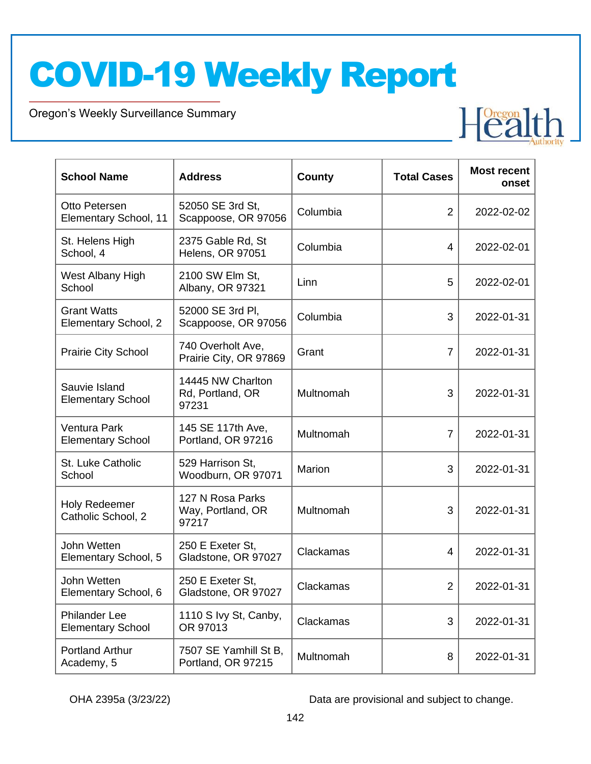Oregon's Weekly Surveillance Summary

Novel Coronavirus (COVID-19)

| <b>School Name</b>                               | <b>Address</b>                                 | <b>County</b> | <b>Total Cases</b> | <b>Most recent</b><br>onset |
|--------------------------------------------------|------------------------------------------------|---------------|--------------------|-----------------------------|
| Otto Petersen<br>Elementary School, 11           | 52050 SE 3rd St,<br>Scappoose, OR 97056        | Columbia      | $\overline{2}$     | 2022-02-02                  |
| St. Helens High<br>School, 4                     | 2375 Gable Rd, St<br><b>Helens, OR 97051</b>   | Columbia      | 4                  | 2022-02-01                  |
| West Albany High<br>School                       | 2100 SW Elm St,<br>Albany, OR 97321            | Linn          | 5                  | 2022-02-01                  |
| <b>Grant Watts</b><br>Elementary School, 2       | 52000 SE 3rd Pl,<br>Scappoose, OR 97056        | Columbia      | 3                  | 2022-01-31                  |
| <b>Prairie City School</b>                       | 740 Overholt Ave,<br>Prairie City, OR 97869    | Grant         | $\overline{7}$     | 2022-01-31                  |
| Sauvie Island<br><b>Elementary School</b>        | 14445 NW Charlton<br>Rd, Portland, OR<br>97231 | Multnomah     | 3                  | 2022-01-31                  |
| Ventura Park<br><b>Elementary School</b>         | 145 SE 117th Ave,<br>Portland, OR 97216        | Multnomah     | $\overline{7}$     | 2022-01-31                  |
| St. Luke Catholic<br>School                      | 529 Harrison St,<br>Woodburn, OR 97071         | Marion        | 3                  | 2022-01-31                  |
| <b>Holy Redeemer</b><br>Catholic School, 2       | 127 N Rosa Parks<br>Way, Portland, OR<br>97217 | Multnomah     | 3                  | 2022-01-31                  |
| John Wetten<br>Elementary School, 5              | 250 E Exeter St,<br>Gladstone, OR 97027        | Clackamas     | 4                  | 2022-01-31                  |
| John Wetten<br>Elementary School, 6              | 250 E Exeter St,<br>Gladstone, OR 97027        | Clackamas     | $\overline{2}$     | 2022-01-31                  |
| <b>Philander Lee</b><br><b>Elementary School</b> | 1110 S Ivy St, Canby,<br>OR 97013              | Clackamas     | 3                  | 2022-01-31                  |
| <b>Portland Arthur</b><br>Academy, 5             | 7507 SE Yamhill St B,<br>Portland, OR 97215    | Multnomah     | 8                  | 2022-01-31                  |

OHA 2395a (3/23/22) Data are provisional and subject to change.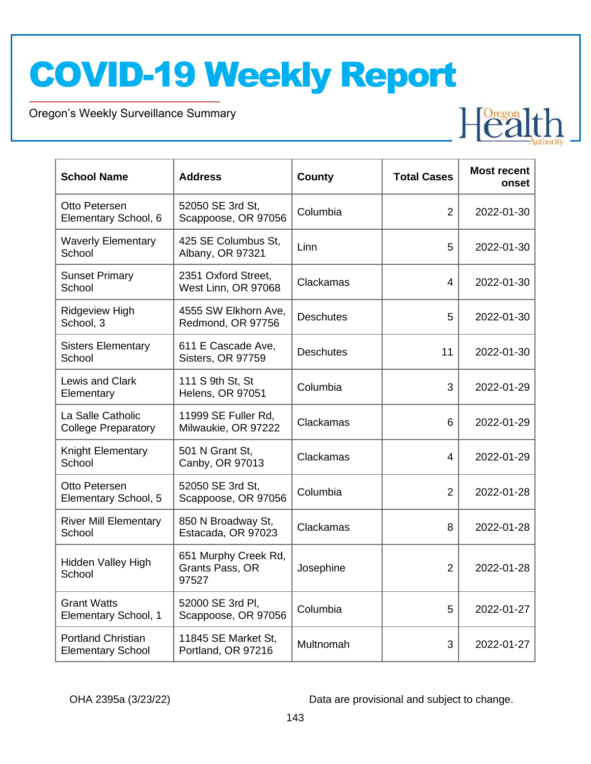Oregon's Weekly Surveillance Summary

Novel Coronavirus (COVID-19)

| <b>School Name</b>                                    | <b>Address</b>                                   | <b>County</b>    | <b>Total Cases</b> | <b>Most recent</b><br>onset |
|-------------------------------------------------------|--------------------------------------------------|------------------|--------------------|-----------------------------|
| Otto Petersen<br>Elementary School, 6                 | 52050 SE 3rd St,<br>Scappoose, OR 97056          | Columbia         | $\overline{2}$     | 2022-01-30                  |
| <b>Waverly Elementary</b><br>School                   | 425 SE Columbus St,<br>Albany, OR 97321          | Linn             | 5                  | 2022-01-30                  |
| <b>Sunset Primary</b><br>School                       | 2351 Oxford Street,<br>West Linn, OR 97068       | Clackamas        | 4                  | 2022-01-30                  |
| <b>Ridgeview High</b><br>School, 3                    | 4555 SW Elkhorn Ave,<br>Redmond, OR 97756        | <b>Deschutes</b> | 5                  | 2022-01-30                  |
| <b>Sisters Elementary</b><br>School                   | 611 E Cascade Ave,<br>Sisters, OR 97759          | <b>Deschutes</b> | 11                 | 2022-01-30                  |
| Lewis and Clark<br>Elementary                         | 111 S 9th St, St<br><b>Helens, OR 97051</b>      | Columbia         | 3                  | 2022-01-29                  |
| La Salle Catholic<br><b>College Preparatory</b>       | 11999 SE Fuller Rd.<br>Milwaukie, OR 97222       | Clackamas        | 6                  | 2022-01-29                  |
| Knight Elementary<br>School                           | 501 N Grant St,<br>Canby, OR 97013               | Clackamas        | 4                  | 2022-01-29                  |
| Otto Petersen<br>Elementary School, 5                 | 52050 SE 3rd St,<br>Scappoose, OR 97056          | Columbia         | $\overline{2}$     | 2022-01-28                  |
| <b>River Mill Elementary</b><br>School                | 850 N Broadway St,<br>Estacada, OR 97023         | Clackamas        | 8                  | 2022-01-28                  |
| Hidden Valley High<br>School                          | 651 Murphy Creek Rd,<br>Grants Pass, OR<br>97527 | Josephine        | $\overline{2}$     | 2022-01-28                  |
| <b>Grant Watts</b><br>Elementary School, 1            | 52000 SE 3rd Pl,<br>Scappoose, OR 97056          | Columbia         | 5                  | 2022-01-27                  |
| <b>Portland Christian</b><br><b>Elementary School</b> | 11845 SE Market St,<br>Portland, OR 97216        | Multnomah        | 3                  | 2022-01-27                  |

OHA 2395a (3/23/22) Data are provisional and subject to change.